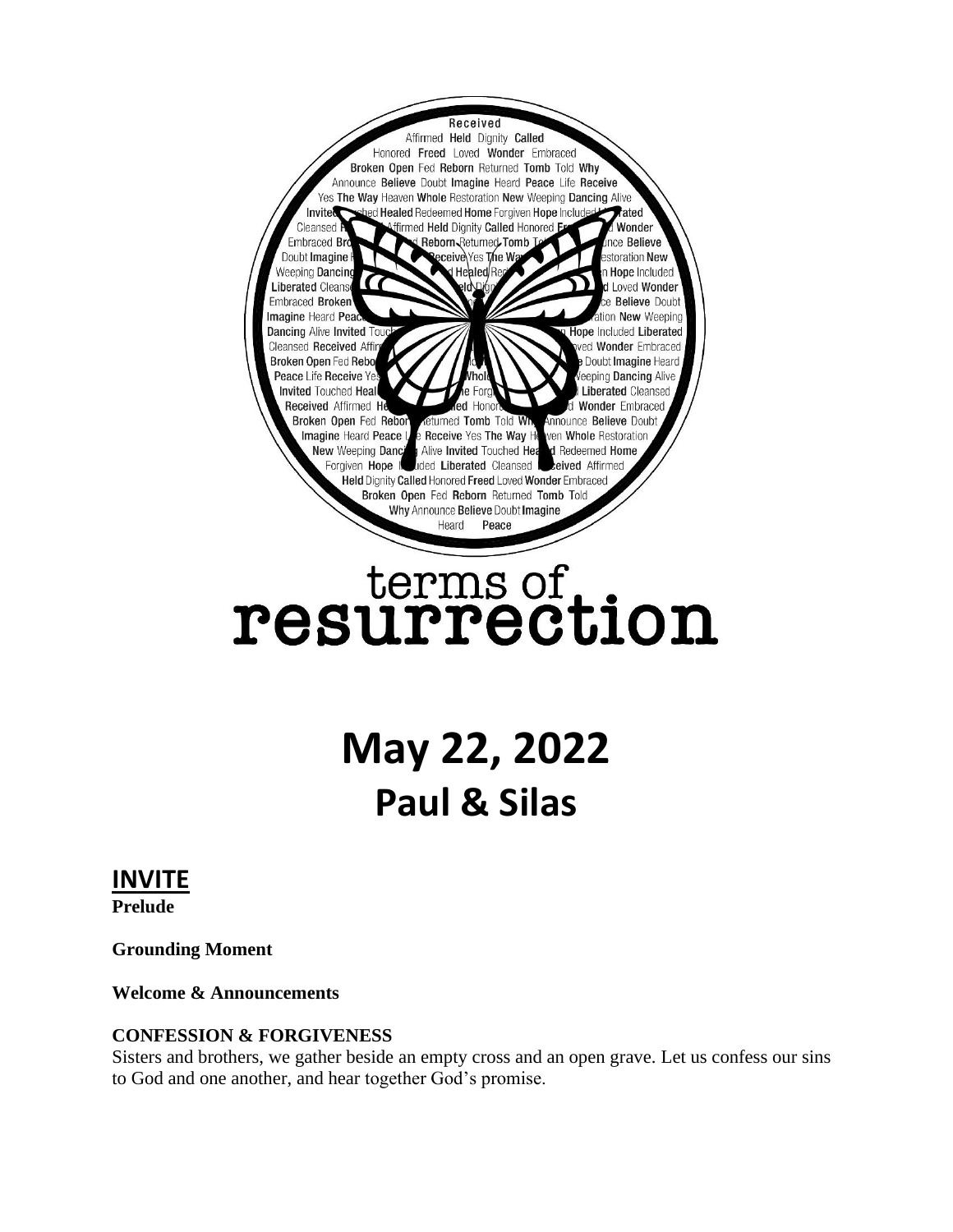

# terms of<br>resurrection

# **May 22, 2022 Paul & Silas**

# **INVITE**

**Prelude**

**Grounding Moment**

**Welcome & Announcements**

#### **CONFESSION & FORGIVENESS**

Sisters and brothers, we gather beside an empty cross and an open grave. Let us confess our sins to God and one another, and hear together God's promise.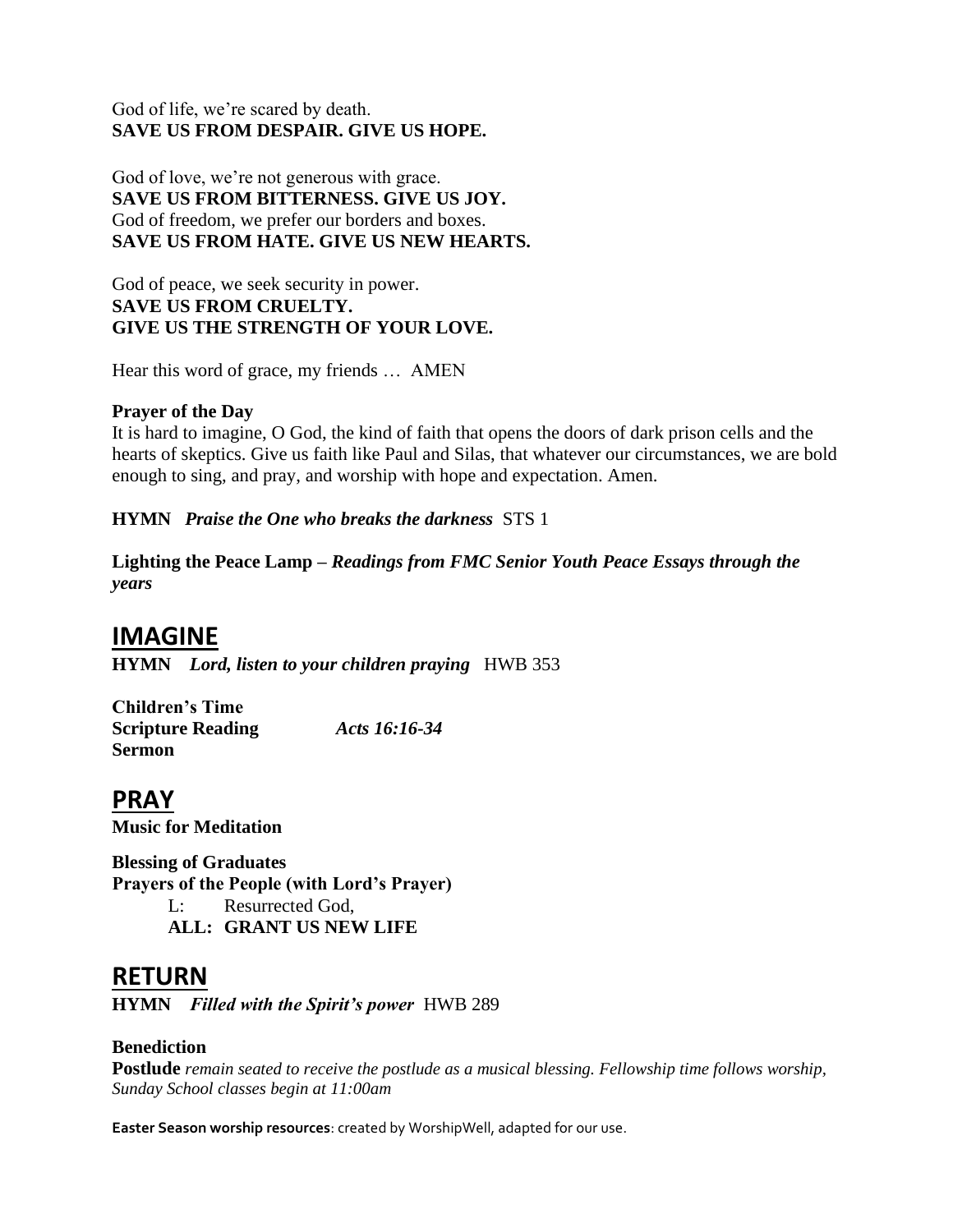#### God of life, we're scared by death. **SAVE US FROM DESPAIR. GIVE US HOPE.**

God of love, we're not generous with grace. **SAVE US FROM BITTERNESS. GIVE US JOY.**  God of freedom, we prefer our borders and boxes. **SAVE US FROM HATE. GIVE US NEW HEARTS.**

God of peace, we seek security in power. **SAVE US FROM CRUELTY. GIVE US THE STRENGTH OF YOUR LOVE.** 

Hear this word of grace, my friends … AMEN

#### **Prayer of the Day**

It is hard to imagine, O God, the kind of faith that opens the doors of dark prison cells and the hearts of skeptics. Give us faith like Paul and Silas, that whatever our circumstances, we are bold enough to sing, and pray, and worship with hope and expectation. Amen.

**HYMN** *Praise the One who breaks the darkness* STS 1

**Lighting the Peace Lamp –** *Readings from FMC Senior Youth Peace Essays through the years*

# **IMAGINE**

**HYMN** *Lord, listen to your children praying* HWB 353

**Children's Time Scripture Reading** *Acts 16:16-34* **Sermon**

**PRAY Music for Meditation**

**Blessing of Graduates Prayers of the People (with Lord's Prayer)** L: Resurrected God, **ALL: GRANT US NEW LIFE**

### **RETURN**

**HYMN** *Filled with the Spirit's power* HWB 289

#### **Benediction**

**Postlude** *remain seated to receive the postlude as a musical blessing. Fellowship time follows worship, Sunday School classes begin at 11:00am*

**Easter Season worship resources**: created by WorshipWell, adapted for our use.